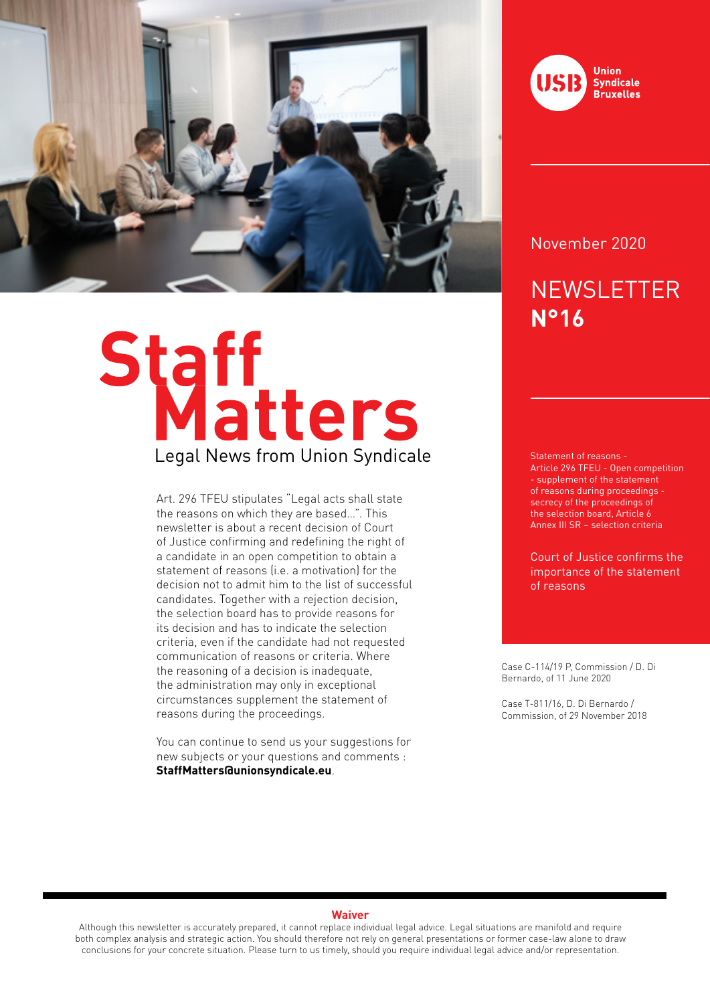

# Staff<br>Legal News from Union Syndicale

Art. 296 TFEU stipulates "Legal acts shall state the reasons on which they are based…". This newsletter is about a recent decision of Court of Justice confirming and redefining the right of a candidate in an open competition to obtain a statement of reasons (i.e. a motivation) for the decision not to admit him to the list of successful candidates. Together with a rejection decision, the selection board has to provide reasons for its decision and has to indicate the selection criteria, even if the candidate had not requested communication of reasons or criteria. Where the reasoning of a decision is inadequate, the administration may only in exceptional circumstances supplement the statement of reasons during the proceedings.

You can continue to send us your suggestions for new subjects or your questions and comments : **StaffMatters@unionsyndicale.eu**.



### November 2020

# **NEWSLETTER N°16**

Statement of reasons - Article 296 TFEU - Open competition - supplement of the statement of reasons during proceedings secrecy of the proceedings of the selection board, Article 6 Annex III SR – selection criteria

Court of Justice confirms the importance of the statement of reasons

Case C-114/19 P, Commission / D. Di Bernardo, of 11 June 2020

Case T-811/16, D. Di Bernardo / Commission, of 29 November 2018

### **Waiver**

Although this newsletter is accurately prepared, it cannot replace individual legal advice. Legal situations are manifold and require both complex analysis and strategic action. You should therefore not rely on general presentations or former case-law alone to draw conclusions for your concrete situation. Please turn to us timely, should you require individual legal advice and/or representation.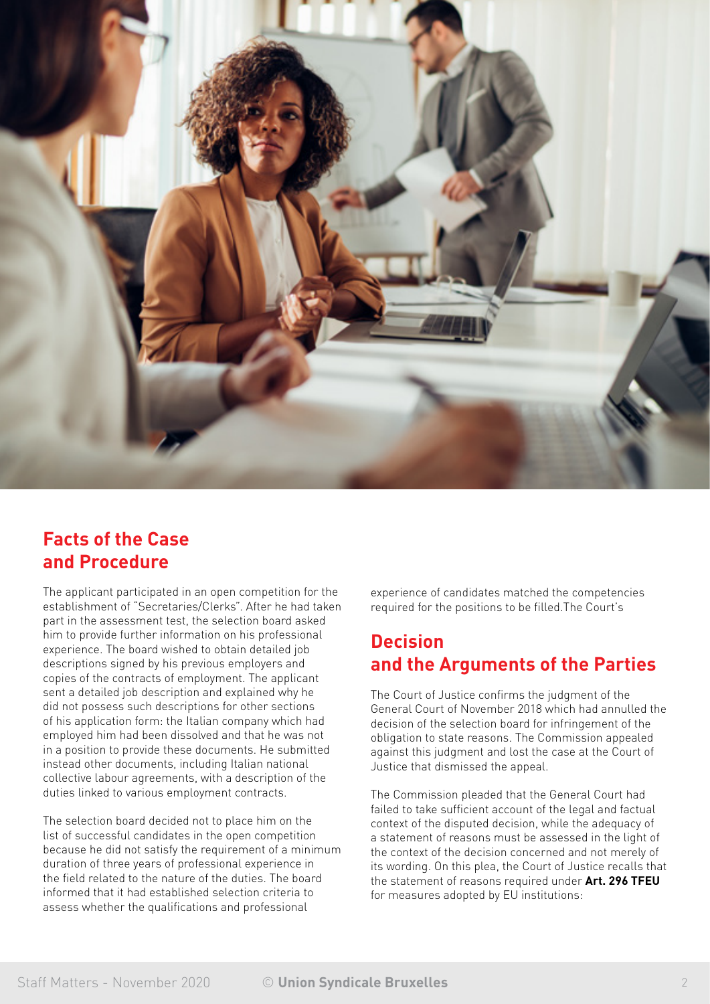

## **Facts of the Case and Procedure**

The applicant participated in an open competition for the establishment of "Secretaries/Clerks". After he had taken part in the assessment test, the selection board asked him to provide further information on his professional experience. The board wished to obtain detailed job descriptions signed by his previous employers and copies of the contracts of employment. The applicant sent a detailed job description and explained why he did not possess such descriptions for other sections of his application form: the Italian company which had employed him had been dissolved and that he was not in a position to provide these documents. He submitted instead other documents, including Italian national collective labour agreements, with a description of the duties linked to various employment contracts.

The selection board decided not to place him on the list of successful candidates in the open competition because he did not satisfy the requirement of a minimum duration of three years of professional experience in the field related to the nature of the duties. The board informed that it had established selection criteria to assess whether the qualifications and professional

experience of candidates matched the competencies required for the positions to be filled.The Court's

# **Decision and the Arguments of the Parties**

The Court of Justice confirms the judgment of the General Court of November 2018 which had annulled the decision of the selection board for infringement of the obligation to state reasons. The Commission appealed against this judgment and lost the case at the Court of Justice that dismissed the appeal.

The Commission pleaded that the General Court had failed to take sufficient account of the legal and factual context of the disputed decision, while the adequacy of a statement of reasons must be assessed in the light of the context of the decision concerned and not merely of its wording. On this plea, the Court of Justice recalls that the statement of reasons required under **Art. 296 TFEU** for measures adopted by EU institutions: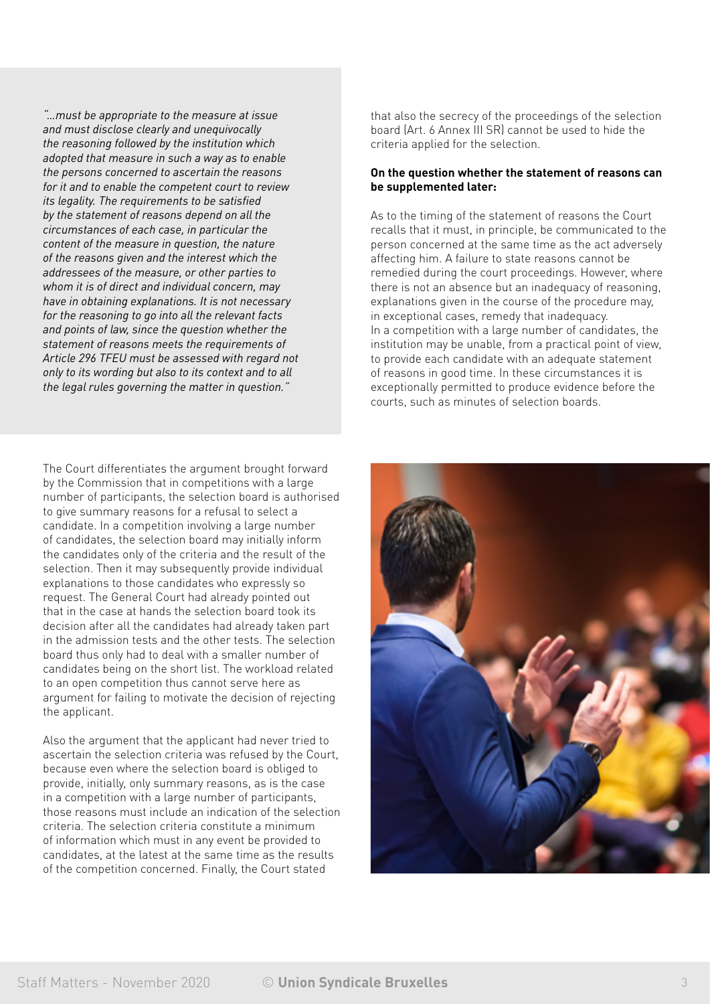*"…must be appropriate to the measure at issue and must disclose clearly and unequivocally the reasoning followed by the institution which adopted that measure in such a way as to enable the persons concerned to ascertain the reasons for it and to enable the competent court to review its legality. The requirements to be satisfied by the statement of reasons depend on all the circumstances of each case, in particular the content of the measure in question, the nature of the reasons given and the interest which the addressees of the measure, or other parties to whom it is of direct and individual concern, may have in obtaining explanations. It is not necessary for the reasoning to go into all the relevant facts and points of law, since the question whether the statement of reasons meets the requirements of Article 296 TFEU must be assessed with regard not only to its wording but also to its context and to all the legal rules governing the matter in question."*

The Court differentiates the argument brought forward by the Commission that in competitions with a large number of participants, the selection board is authorised to give summary reasons for a refusal to select a candidate. In a competition involving a large number of candidates, the selection board may initially inform the candidates only of the criteria and the result of the selection. Then it may subsequently provide individual explanations to those candidates who expressly so request. The General Court had already pointed out that in the case at hands the selection board took its decision after all the candidates had already taken part in the admission tests and the other tests. The selection board thus only had to deal with a smaller number of candidates being on the short list. The workload related to an open competition thus cannot serve here as argument for failing to motivate the decision of rejecting the applicant.

Also the argument that the applicant had never tried to ascertain the selection criteria was refused by the Court, because even where the selection board is obliged to provide, initially, only summary reasons, as is the case in a competition with a large number of participants, those reasons must include an indication of the selection criteria. The selection criteria constitute a minimum of information which must in any event be provided to candidates, at the latest at the same time as the results of the competition concerned. Finally, the Court stated

that also the secrecy of the proceedings of the selection board (Art. 6 Annex III SR) cannot be used to hide the criteria applied for the selection.

### **On the question whether the statement of reasons can be supplemented later:**

As to the timing of the statement of reasons the Court recalls that it must, in principle, be communicated to the person concerned at the same time as the act adversely affecting him. A failure to state reasons cannot be remedied during the court proceedings. However, where there is not an absence but an inadequacy of reasoning, explanations given in the course of the procedure may, in exceptional cases, remedy that inadequacy. In a competition with a large number of candidates, the institution may be unable, from a practical point of view, to provide each candidate with an adequate statement of reasons in good time. In these circumstances it is exceptionally permitted to produce evidence before the courts, such as minutes of selection boards.